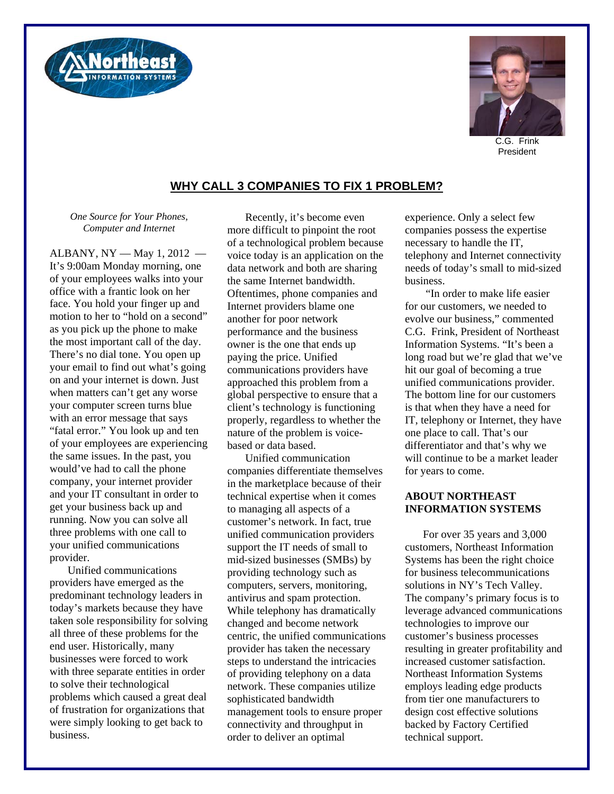



C.G. Frink President

## **WHY CALL 3 COMPANIES TO FIX 1 PROBLEM?**

*One Source for Your Phones, Computer and Internet* 

ALBANY, NY — May 1, 2012 — It's 9:00am Monday morning, one of your employees walks into your office with a frantic look on her face. You hold your finger up and motion to her to "hold on a second" as you pick up the phone to make the most important call of the day. There's no dial tone. You open up your email to find out what's going on and your internet is down. Just when matters can't get any worse your computer screen turns blue with an error message that says "fatal error." You look up and ten of your employees are experiencing the same issues. In the past, you would've had to call the phone company, your internet provider and your IT consultant in order to get your business back up and running. Now you can solve all three problems with one call to your unified communications provider.

Unified communications providers have emerged as the predominant technology leaders in today's markets because they have taken sole responsibility for solving all three of these problems for the end user. Historically, many businesses were forced to work with three separate entities in order to solve their technological problems which caused a great deal of frustration for organizations that were simply looking to get back to business.

Recently, it's become even more difficult to pinpoint the root of a technological problem because voice today is an application on the data network and both are sharing the same Internet bandwidth. Oftentimes, phone companies and Internet providers blame one another for poor network performance and the business owner is the one that ends up paying the price. Unified communications providers have approached this problem from a global perspective to ensure that a client's technology is functioning properly, regardless to whether the nature of the problem is voicebased or data based.

Unified communication companies differentiate themselves in the marketplace because of their technical expertise when it comes to managing all aspects of a customer's network. In fact, true unified communication providers support the IT needs of small to mid-sized businesses (SMBs) by providing technology such as computers, servers, monitoring, antivirus and spam protection. While telephony has dramatically changed and become network centric, the unified communications provider has taken the necessary steps to understand the intricacies of providing telephony on a data network. These companies utilize sophisticated bandwidth management tools to ensure proper connectivity and throughput in order to deliver an optimal

experience. Only a select few companies possess the expertise necessary to handle the IT, telephony and Internet connectivity needs of today's small to mid-sized business.

 "In order to make life easier for our customers, we needed to evolve our business," commented C.G. Frink, President of Northeast Information Systems. "It's been a long road but we're glad that we've hit our goal of becoming a true unified communications provider. The bottom line for our customers is that when they have a need for IT, telephony or Internet, they have one place to call. That's our differentiator and that's why we will continue to be a market leader for years to come.

## **ABOUT NORTHEAST INFORMATION SYSTEMS**

For over 35 years and 3,000 customers, Northeast Information Systems has been the right choice for business telecommunications solutions in NY's Tech Valley. The company's primary focus is to leverage advanced communications technologies to improve our customer's business processes resulting in greater profitability and increased customer satisfaction. Northeast Information Systems employs leading edge products from tier one manufacturers to design cost effective solutions backed by Factory Certified technical support.